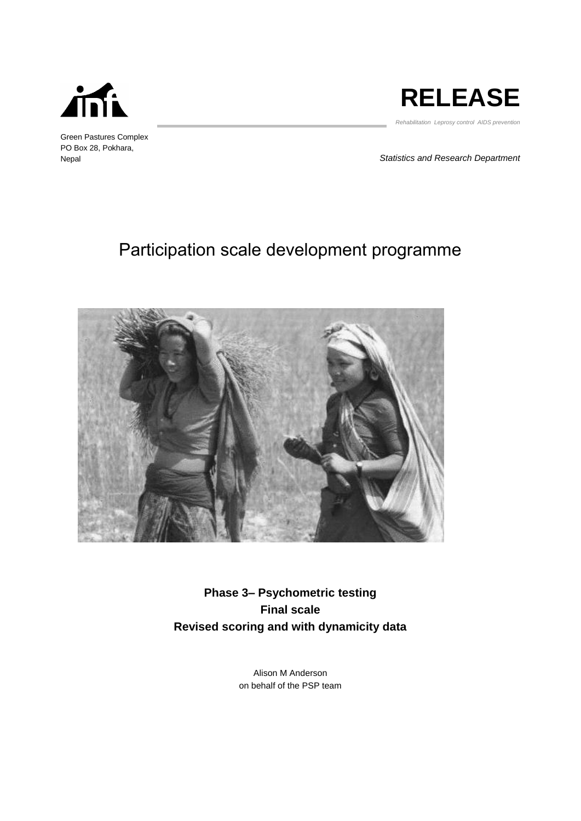

Green Pastures Complex PO Box 28, Pokhara, Nepal



*Rehabilitation Leprosy control AIDS prevention* 

*Statistics and Research Department*

# Participation scale development programme



**Phase 3– Psychometric testing Final scale Revised scoring and with dynamicity data**

> Alison M Anderson on behalf of the PSP team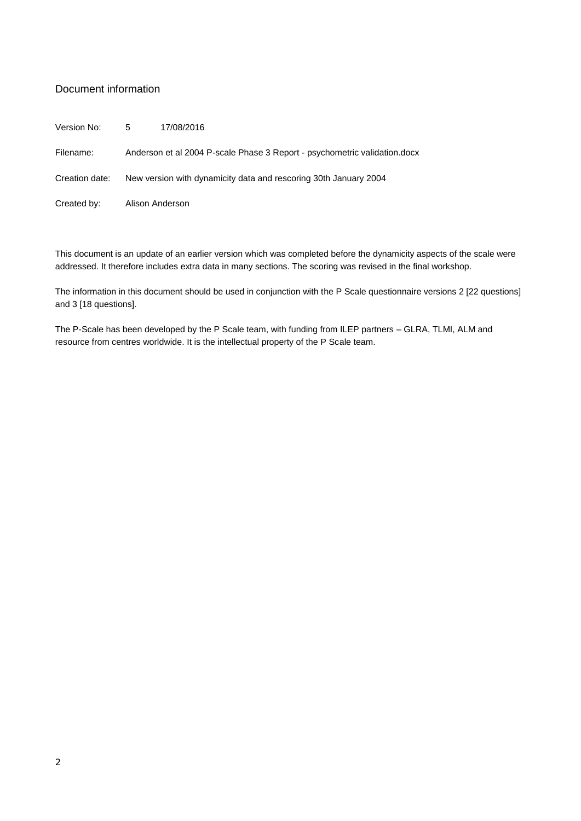## Document information

Version No: 5 17/08/2016

Filename: Anderson et al 2004 P-scale Phase 3 Report - psychometric validation.docx

Creation date: New version with dynamicity data and rescoring 30th January 2004

Created by: Alison Anderson

This document is an update of an earlier version which was completed before the dynamicity aspects of the scale were addressed. It therefore includes extra data in many sections. The scoring was revised in the final workshop.

The information in this document should be used in conjunction with the P Scale questionnaire versions 2 [22 questions] and 3 [18 questions].

The P-Scale has been developed by the P Scale team, with funding from ILEP partners – GLRA, TLMI, ALM and resource from centres worldwide. It is the intellectual property of the P Scale team.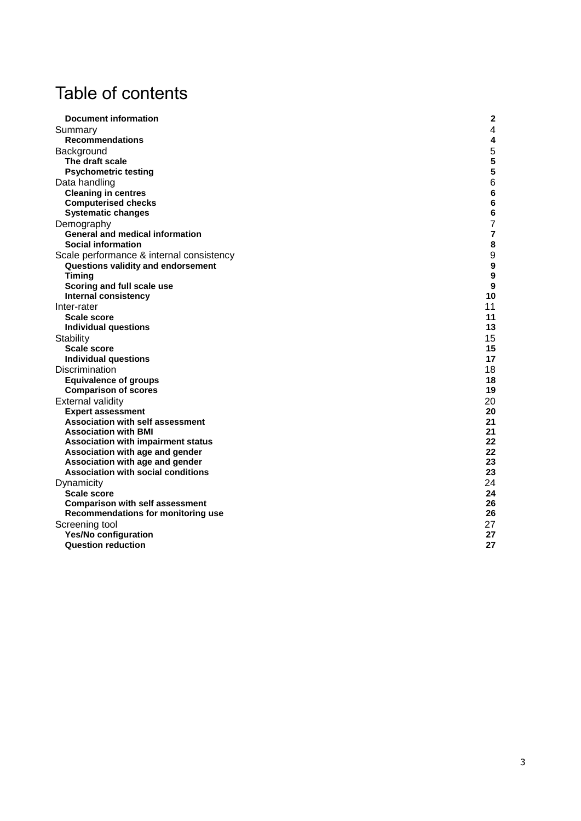# Table of contents

| <b>Document information</b>               | 2  |
|-------------------------------------------|----|
| Summary                                   | 4  |
| <b>Recommendations</b>                    | 4  |
| Background                                | 5  |
| The draft scale                           | 5  |
| <b>Psychometric testing</b>               | 5  |
| Data handling                             | 6  |
| <b>Cleaning in centres</b>                | 6  |
| <b>Computerised checks</b>                | 6  |
| <b>Systematic changes</b>                 | 6  |
| Demography                                | 7  |
| <b>General and medical information</b>    | 7  |
| <b>Social information</b>                 | 8  |
| Scale performance & internal consistency  | 9  |
| Questions validity and endorsement        | 9  |
| <b>Timing</b>                             | 9  |
| Scoring and full scale use                | 9  |
| Internal consistency                      | 10 |
| Inter-rater                               | 11 |
| <b>Scale score</b>                        | 11 |
| <b>Individual questions</b>               | 13 |
| Stability                                 | 15 |
| <b>Scale score</b>                        | 15 |
| <b>Individual questions</b>               | 17 |
| Discrimination                            | 18 |
| <b>Equivalence of groups</b>              | 18 |
| <b>Comparison of scores</b>               | 19 |
| External validity                         | 20 |
| <b>Expert assessment</b>                  | 20 |
| <b>Association with self assessment</b>   | 21 |
| <b>Association with BMI</b>               | 21 |
| <b>Association with impairment status</b> | 22 |
| Association with age and gender           | 22 |
| Association with age and gender           | 23 |
| <b>Association with social conditions</b> | 23 |
| Dynamicity                                | 24 |
| <b>Scale score</b>                        | 24 |
| <b>Comparison with self assessment</b>    | 26 |
| Recommendations for monitoring use        | 26 |
| Screening tool                            | 27 |
| <b>Yes/No configuration</b>               | 27 |
| <b>Question reduction</b>                 | 27 |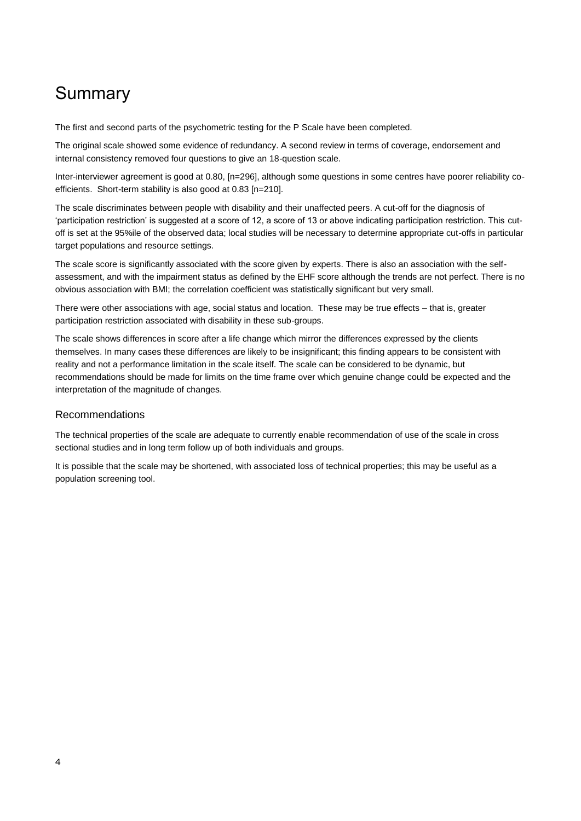# Summary

The first and second parts of the psychometric testing for the P Scale have been completed.

The original scale showed some evidence of redundancy. A second review in terms of coverage, endorsement and internal consistency removed four questions to give an 18-question scale.

Inter-interviewer agreement is good at 0.80, [n=296], although some questions in some centres have poorer reliability coefficients. Short-term stability is also good at 0.83 [n=210].

The scale discriminates between people with disability and their unaffected peers. A cut-off for the diagnosis of 'participation restriction' is suggested at a score of 12, a score of 13 or above indicating participation restriction. This cutoff is set at the 95%ile of the observed data; local studies will be necessary to determine appropriate cut-offs in particular target populations and resource settings.

The scale score is significantly associated with the score given by experts. There is also an association with the selfassessment, and with the impairment status as defined by the EHF score although the trends are not perfect. There is no obvious association with BMI; the correlation coefficient was statistically significant but very small.

There were other associations with age, social status and location. These may be true effects – that is, greater participation restriction associated with disability in these sub-groups.

The scale shows differences in score after a life change which mirror the differences expressed by the clients themselves. In many cases these differences are likely to be insignificant; this finding appears to be consistent with reality and not a performance limitation in the scale itself. The scale can be considered to be dynamic, but recommendations should be made for limits on the time frame over which genuine change could be expected and the interpretation of the magnitude of changes.

## Recommendations

The technical properties of the scale are adequate to currently enable recommendation of use of the scale in cross sectional studies and in long term follow up of both individuals and groups.

It is possible that the scale may be shortened, with associated loss of technical properties; this may be useful as a population screening tool.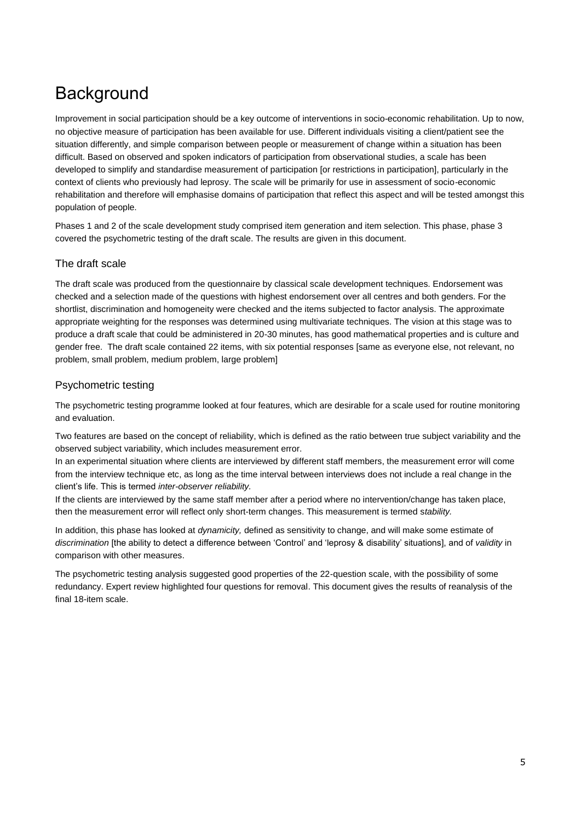# **Background**

Improvement in social participation should be a key outcome of interventions in socio-economic rehabilitation. Up to now, no objective measure of participation has been available for use. Different individuals visiting a client/patient see the situation differently, and simple comparison between people or measurement of change within a situation has been difficult. Based on observed and spoken indicators of participation from observational studies, a scale has been developed to simplify and standardise measurement of participation [or restrictions in participation], particularly in the context of clients who previously had leprosy. The scale will be primarily for use in assessment of socio-economic rehabilitation and therefore will emphasise domains of participation that reflect this aspect and will be tested amongst this population of people.

Phases 1 and 2 of the scale development study comprised item generation and item selection. This phase, phase 3 covered the psychometric testing of the draft scale. The results are given in this document.

## The draft scale

The draft scale was produced from the questionnaire by classical scale development techniques. Endorsement was checked and a selection made of the questions with highest endorsement over all centres and both genders. For the shortlist, discrimination and homogeneity were checked and the items subjected to factor analysis. The approximate appropriate weighting for the responses was determined using multivariate techniques. The vision at this stage was to produce a draft scale that could be administered in 20-30 minutes, has good mathematical properties and is culture and gender free. The draft scale contained 22 items, with six potential responses [same as everyone else, not relevant, no problem, small problem, medium problem, large problem]

## Psychometric testing

The psychometric testing programme looked at four features, which are desirable for a scale used for routine monitoring and evaluation.

Two features are based on the concept of reliability, which is defined as the ratio between true subject variability and the observed subject variability, which includes measurement error.

In an experimental situation where clients are interviewed by different staff members, the measurement error will come from the interview technique etc, as long as the time interval between interviews does not include a real change in the client's life. This is termed *inter-observer reliability.*

If the clients are interviewed by the same staff member after a period where no intervention/change has taken place, then the measurement error will reflect only short-term changes. This measurement is termed s*tability.*

In addition, this phase has looked at *dynamicity,* defined as sensitivity to change, and will make some estimate of *discrimination* [the ability to detect a difference between 'Control' and 'leprosy & disability' situations], and of *validity* in comparison with other measures.

The psychometric testing analysis suggested good properties of the 22-question scale, with the possibility of some redundancy. Expert review highlighted four questions for removal. This document gives the results of reanalysis of the final 18-item scale.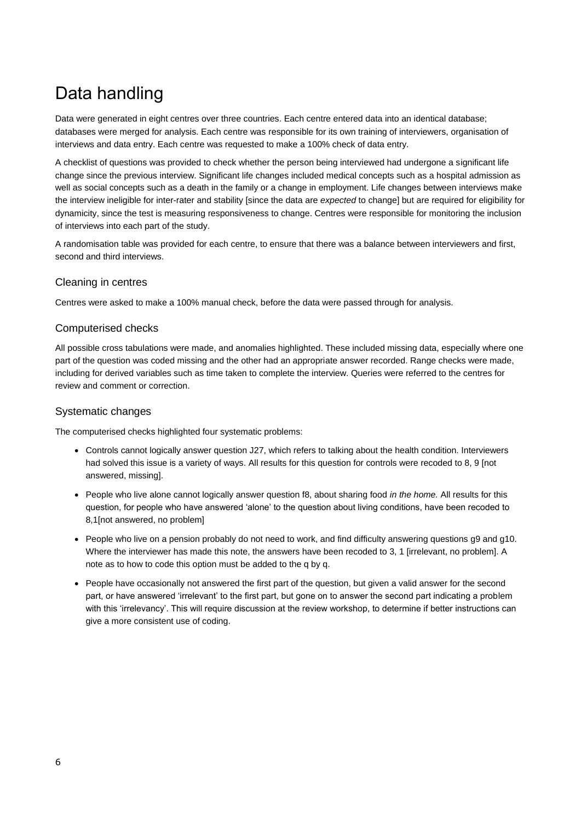# Data handling

Data were generated in eight centres over three countries. Each centre entered data into an identical database; databases were merged for analysis. Each centre was responsible for its own training of interviewers, organisation of interviews and data entry. Each centre was requested to make a 100% check of data entry.

A checklist of questions was provided to check whether the person being interviewed had undergone a significant life change since the previous interview. Significant life changes included medical concepts such as a hospital admission as well as social concepts such as a death in the family or a change in employment. Life changes between interviews make the interview ineligible for inter-rater and stability [since the data are *expected* to change] but are required for eligibility for dynamicity, since the test is measuring responsiveness to change. Centres were responsible for monitoring the inclusion of interviews into each part of the study.

A randomisation table was provided for each centre, to ensure that there was a balance between interviewers and first, second and third interviews.

## Cleaning in centres

Centres were asked to make a 100% manual check, before the data were passed through for analysis.

## Computerised checks

All possible cross tabulations were made, and anomalies highlighted. These included missing data, especially where one part of the question was coded missing and the other had an appropriate answer recorded. Range checks were made, including for derived variables such as time taken to complete the interview. Queries were referred to the centres for review and comment or correction.

### Systematic changes

The computerised checks highlighted four systematic problems:

- Controls cannot logically answer question J27, which refers to talking about the health condition. Interviewers had solved this issue is a variety of ways. All results for this question for controls were recoded to 8, 9 [not answered, missing].
- People who live alone cannot logically answer question f8, about sharing food *in the home.* All results for this question, for people who have answered 'alone' to the question about living conditions, have been recoded to 8,1[not answered, no problem]
- People who live on a pension probably do not need to work, and find difficulty answering questions g9 and g10. Where the interviewer has made this note, the answers have been recoded to 3, 1 [irrelevant, no problem]. A note as to how to code this option must be added to the q by q.
- People have occasionally not answered the first part of the question, but given a valid answer for the second part, or have answered 'irrelevant' to the first part, but gone on to answer the second part indicating a problem with this 'irrelevancy'. This will require discussion at the review workshop, to determine if better instructions can give a more consistent use of coding.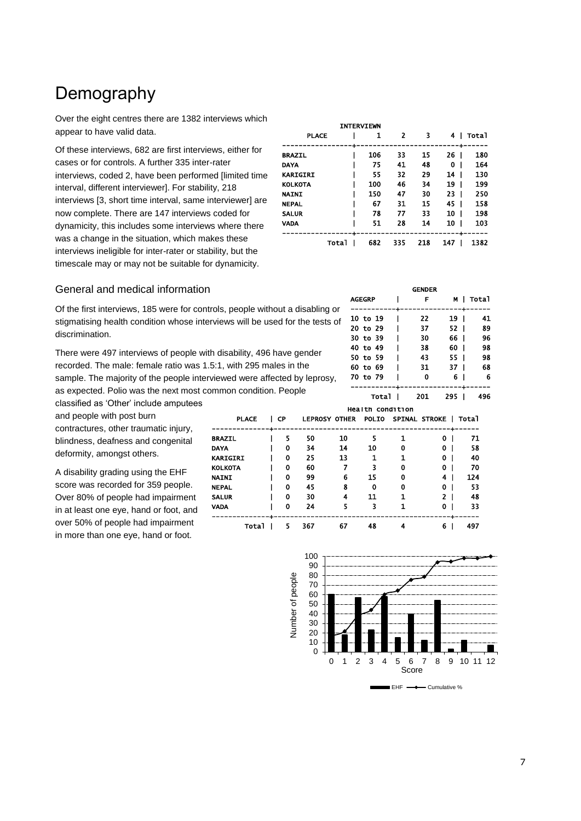## Demography

Over the eight centres there are 1382 interviews which appear to have valid data.

Of these interviews, 682 are first interviews, either for cases or for controls. A further 335 inter-rater interviews, coded 2, have been performed [limited time interval, different interviewer]. For stability, 218 interviews [3, short time interval, same interviewer] are now complete. There are 147 interviews coded for dynamicity, this includes some interviews where there was a change in the situation, which makes these interviews ineligible for inter-rater or stability, but the timescale may or may not be suitable for dynamicity.

|                 |              | <b>INTERVIEWN</b> |     |     |     |       |
|-----------------|--------------|-------------------|-----|-----|-----|-------|
| <b>PLACE</b>    |              | 1                 | 2   | 3   | 4   | Total |
|                 |              |                   |     |     |     |       |
| <b>BRAZIL</b>   |              | 106               | 33  | 15  | 26  | 180   |
| DAYA            |              | 75                | 41  | 48  | 0   | 164   |
| <b>KARIGIRI</b> |              | 55                | 32  | 29  | 14  | 130   |
| <b>KOLKOTA</b>  |              | 100               | 46  | 34  | 19  | 199   |
| <b>NAINI</b>    |              | 150               | 47  | 30  | 23  | 250   |
| <b>NEPAL</b>    |              | 67                | 31  | 15  | 45  | 158   |
| <b>SALUR</b>    |              | 78                | 77  | 33  | 10  | 198   |
| VADA            |              | 51                | 28  | 14  | 10  | 103   |
|                 | <b>Total</b> | 682               | 335 | 218 | 147 | 1382  |

### General and medical information

Of the first interviews, 185 were for controls, people without a disabling or stigmatising health condition whose interviews will be used for the tests of discrimination.

There were 497 interviews of people with disability, 496 have gender recorded. The male: female ratio was 1.5:1, with 295 males in the sample. The majority of the people interviewed were affected by leprosy, as expected. Polio was the next most common condition. People

classified as 'Other' include amputees and people with post burn contractures, other traumatic injury, blindness, deafness and congenital

deformity, amongst others.

A disability grading using the EHF score was recorded for 359 people. Over 80% of people had impairment in at least one eye, hand or foot, and over 50% of people had impairment in more than one eye, hand or foot.

|               | <b>GENDER</b>                      |      |           |
|---------------|------------------------------------|------|-----------|
| <b>AGEGRP</b> | F                                  |      | M   Total |
|               | ---- <del>-</del> ---------------- |      |           |
| 10 to 19      | 22                                 | 19 I | 41        |
| 20 to 29      | 37                                 | 52 I | 89        |
| 30 to 39      | 30                                 | 66 I | 96        |
| 40 to 49      | 38                                 | 60 I | 98        |
| 50 to 59      | 43                                 | 55 I | 98        |
| 60 to 69      | 31                                 | 37 I | 68        |
| 70 to 79      | Ω                                  | 6    | 6         |
|               |                                    |      |           |
| <b>Total</b>  | 201                                | 295  | 496       |

| <b>Health condition</b> |  |      |     |                      |              |   |               |       |
|-------------------------|--|------|-----|----------------------|--------------|---|---------------|-------|
| <b>PLACE</b>            |  | l CP |     | <b>LEPROSY OTHER</b> | <b>POLIO</b> |   | SPINAL STROKE | Tota1 |
|                         |  |      |     |                      |              |   |               |       |
| <b>BRAZIL</b>           |  | 5    | 50  | 10                   | 5            |   | 0             | 71    |
| <b>DAYA</b>             |  | 0    | 34  | 14                   | 10           | 0 | 0             | 58    |
| <b>KARIGIRI</b>         |  | 0    | 25  | 13                   | 1            |   | 0             | 40    |
| <b>KOLKOTA</b>          |  | 0    | 60  |                      | 3            | 0 | 0             | 70    |
| <b>NAINI</b>            |  | 0    | 99  | 6                    | 15           | 0 | 4             | 124   |
| <b>NEPAL</b>            |  | 0    | 45  | 8                    | 0            | O | 0             | 53    |
| <b>SALUR</b>            |  | 0    | 30  | 4                    | 11           | 1 | 2             | 48    |
| <b>VADA</b>             |  | 0    | 24  | 5                    | 3            |   | 0             | 33    |
| Total                   |  | 5    | 367 | 67                   | 48           | д | 6             | 497   |

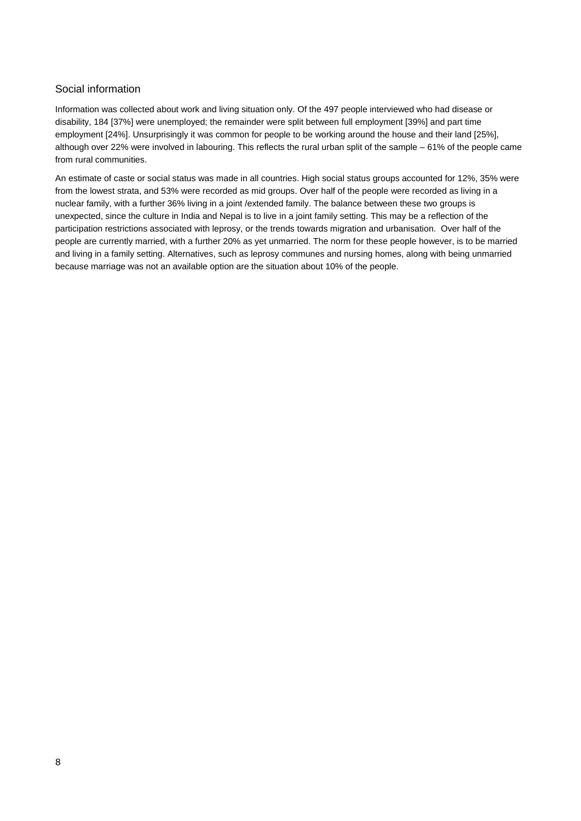## Social information

Information was collected about work and living situation only. Of the 497 people interviewed who had disease or disability, 184 [37%] were unemployed; the remainder were split between full employment [39%] and part time employment [24%]. Unsurprisingly it was common for people to be working around the house and their land [25%], although over 22% were involved in labouring. This reflects the rural urban split of the sample – 61% of the people came from rural communities.

An estimate of caste or social status was made in all countries. High social status groups accounted for 12%, 35% were from the lowest strata, and 53% were recorded as mid groups. Over half of the people were recorded as living in a nuclear family, with a further 36% living in a joint /extended family. The balance between these two groups is unexpected, since the culture in India and Nepal is to live in a joint family setting. This may be a reflection of the participation restrictions associated with leprosy, or the trends towards migration and urbanisation. Over half of the people are currently married, with a further 20% as yet unmarried. The norm for these people however, is to be married and living in a family setting. Alternatives, such as leprosy communes and nursing homes, along with being unmarried because marriage was not an available option are the situation about 10% of the people.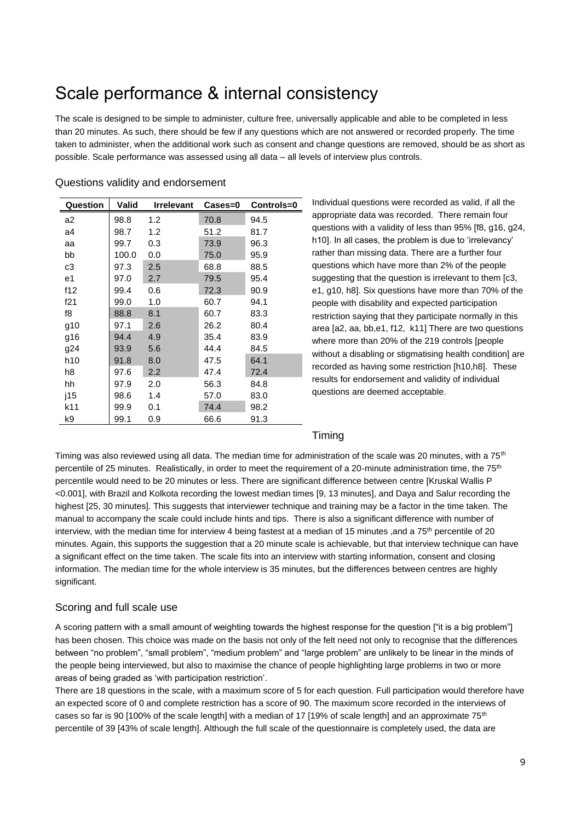# Scale performance & internal consistency

The scale is designed to be simple to administer, culture free, universally applicable and able to be completed in less than 20 minutes. As such, there should be few if any questions which are not answered or recorded properly. The time taken to administer, when the additional work such as consent and change questions are removed, should be as short as possible. Scale performance was assessed using all data – all levels of interview plus controls.

| Question        | Valid | <b>Irrelevant</b> | $\text{Case} = 0$ | Controls=0 |
|-----------------|-------|-------------------|-------------------|------------|
| a2              | 98.8  | 1.2               | 70.8              | 94.5       |
| a4              | 98.7  | 1.2               | 51.2              | 81.7       |
| aa              | 99.7  | 0.3               | 73.9              | 96.3       |
| bb              | 100.0 | 0.0               | 75.0              | 95.9       |
| c3              | 97.3  | 2.5               | 68.8              | 88.5       |
| e1              | 97.0  | 2.7               | 79.5              | 95.4       |
| f12             | 99.4  | 0.6               | 72.3              | 90.9       |
| f21             | 99.0  | 1.0               | 60.7              | 94.1       |
| f8              | 88.8  | 8.1               | 60.7              | 83.3       |
| g10             | 97.1  | 2.6               | 26.2              | 80.4       |
| g16             | 94.4  | 4.9               | 35.4              | 83.9       |
| g24             | 93.9  | 5.6               | 44.4              | 84.5       |
| h <sub>10</sub> | 91.8  | 8.0               | 47.5              | 64.1       |
| h8              | 97.6  | 2.2               | 47.4              | 72.4       |
| hh              | 97.9  | 2.0               | 56.3              | 84.8       |
| j15             | 98.6  | 1.4               | 57.0              | 83.0       |
| k11             | 99.9  | 0.1               | 74.4              | 98.2       |
| k9              | 99.1  | 0.9               | 66.6              | 91.3       |

### Questions validity and endorsement

Individual questions were recorded as valid, if all the appropriate data was recorded. There remain four questions with a validity of less than 95% [f8, g16, g24, h10]. In all cases, the problem is due to 'irrelevancy' rather than missing data. There are a further four questions which have more than 2% of the people suggesting that the question is irrelevant to them [c3, e1, g10, h8]. Six questions have more than 70% of the people with disability and expected participation restriction saying that they participate normally in this area [a2, aa, bb,e1, f12, k11] There are two questions where more than 20% of the 219 controls [people without a disabling or stigmatising health condition] are recorded as having some restriction [h10,h8]. These results for endorsement and validity of individual questions are deemed acceptable.

## Timing

Timing was also reviewed using all data. The median time for administration of the scale was 20 minutes, with a 75<sup>th</sup> percentile of 25 minutes. Realistically, in order to meet the requirement of a 20-minute administration time, the 75<sup>th</sup> percentile would need to be 20 minutes or less. There are significant difference between centre [Kruskal Wallis P <0.001], with Brazil and Kolkota recording the lowest median times [9, 13 minutes], and Daya and Salur recording the highest [25, 30 minutes]. This suggests that interviewer technique and training may be a factor in the time taken. The manual to accompany the scale could include hints and tips. There is also a significant difference with number of interview, with the median time for interview 4 being fastest at a median of 15 minutes, and a 75<sup>th</sup> percentile of 20 minutes. Again, this supports the suggestion that a 20 minute scale is achievable, but that interview technique can have a significant effect on the time taken. The scale fits into an interview with starting information, consent and closing information. The median time for the whole interview is 35 minutes, but the differences between centres are highly significant.

## Scoring and full scale use

A scoring pattern with a small amount of weighting towards the highest response for the question ["it is a big problem"] has been chosen. This choice was made on the basis not only of the felt need not only to recognise that the differences between "no problem", "small problem", "medium problem" and "large problem" are unlikely to be linear in the minds of the people being interviewed, but also to maximise the chance of people highlighting large problems in two or more areas of being graded as 'with participation restriction'.

There are 18 questions in the scale, with a maximum score of 5 for each question. Full participation would therefore have an expected score of 0 and complete restriction has a score of 90. The maximum score recorded in the interviews of cases so far is 90 [100% of the scale length] with a median of 17 [19% of scale length] and an approximate  $75<sup>th</sup>$ percentile of 39 [43% of scale length]. Although the full scale of the questionnaire is completely used, the data are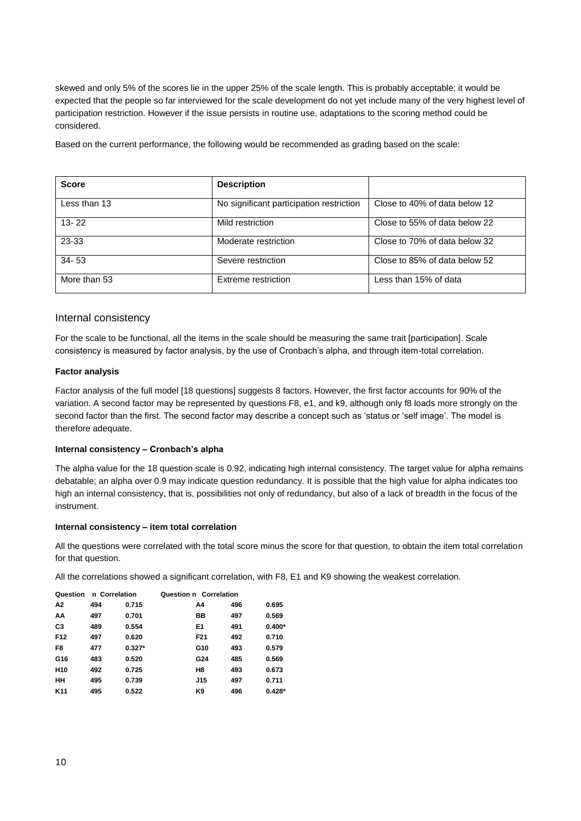skewed and only 5% of the scores lie in the upper 25% of the scale length. This is probably acceptable; it would be expected that the people so far interviewed for the scale development do not yet include many of the very highest level of participation restriction. However if the issue persists in routine use, adaptations to the scoring method could be considered.

Based on the current performance, the following would be recommended as grading based on the scale:

| <b>Score</b> | <b>Description</b>                       |                               |
|--------------|------------------------------------------|-------------------------------|
| Less than 13 | No significant participation restriction | Close to 40% of data below 12 |
| $13 - 22$    | Mild restriction                         | Close to 55% of data below 22 |
| 23-33        | Moderate restriction                     | Close to 70% of data below 32 |
| $34 - 53$    | Severe restriction                       | Close to 85% of data below 52 |
| More than 53 | Extreme restriction                      | Less than 15% of data         |

### Internal consistency

For the scale to be functional, all the items in the scale should be measuring the same trait [participation]. Scale consistency is measured by factor analysis, by the use of Cronbach's alpha, and through item-total correlation.

#### **Factor analysis**

Factor analysis of the full model [18 questions] suggests 8 factors. However, the first factor accounts for 90% of the variation. A second factor may be represented by questions F8, e1, and k9, although only f8 loads more strongly on the second factor than the first. The second factor may describe a concept such as 'status or 'self image'. The model is therefore adequate.

#### **Internal consistency – Cronbach's alpha**

The alpha value for the 18 question scale is 0.92, indicating high internal consistency. The target value for alpha remains debatable; an alpha over 0.9 may indicate question redundancy. It is possible that the high value for alpha indicates too high an internal consistency, that is, possibilities not only of redundancy, but also of a lack of breadth in the focus of the instrument.

#### **Internal consistency – item total correlation**

All the questions were correlated with the total score minus the score for that question, to obtain the item total correlation for that question.

All the correlations showed a significant correlation, with F8, E1 and K9 showing the weakest correlation.

| Question        | n Correlation |          | Question n Correlation |                 |     |          |
|-----------------|---------------|----------|------------------------|-----------------|-----|----------|
| A2              | 494           | 0.715    |                        | A4              | 496 | 0.695    |
| AA              | 497           | 0.701    |                        | BВ              | 497 | 0.569    |
| C <sub>3</sub>  | 489           | 0.554    |                        | E <sub>1</sub>  | 491 | $0.400*$ |
| F <sub>12</sub> | 497           | 0.620    |                        | F <sub>21</sub> | 492 | 0.710    |
| F8              | 477           | $0.327*$ |                        | G10             | 493 | 0.579    |
| G16             | 483           | 0.520    |                        | G24             | 485 | 0.569    |
| H <sub>10</sub> | 492           | 0.725    |                        | H <sub>8</sub>  | 493 | 0.673    |
| HН              | 495           | 0.739    |                        | <b>J15</b>      | 497 | 0.711    |
| K <sub>11</sub> | 495           | 0.522    |                        | K9              | 496 | $0.428*$ |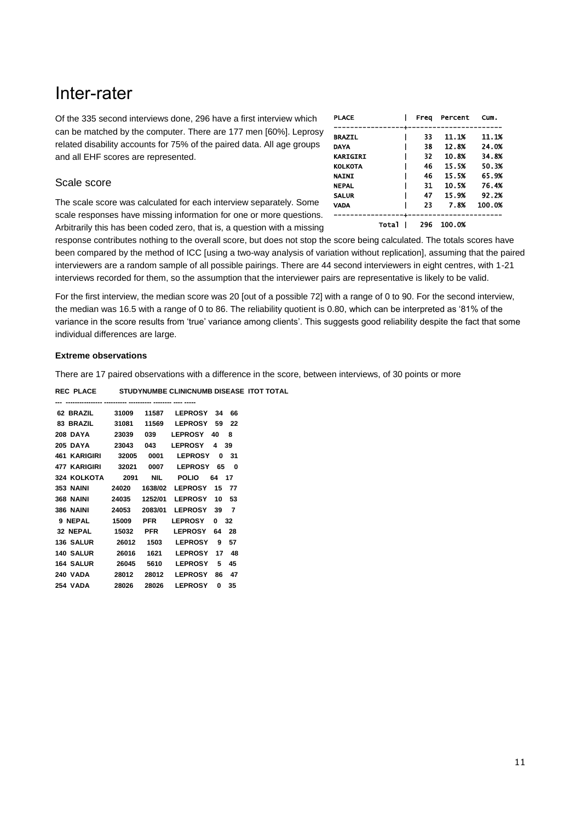## Inter-rater

Of the 335 second interviews done, 296 have a first interview which can be matched by the computer. There are 177 men [60%]. Leprosy related disability accounts for 75% of the paired data. All age groups and all EHF scores are represented.

## Scale score

The scale score was calculated for each interview separately. Some scale responses have missing information for one or more questions. Arbitrarily this has been coded zero, that is, a question with a missing

| <b>PLACE</b>    |        | Frea | Percent | Cum.   |
|-----------------|--------|------|---------|--------|
|                 |        |      |         |        |
| <b>BRAZIL</b>   |        | 33   | 11.1%   | 11.1%  |
| DAYA            |        | 38   | 12.8%   | 24.0%  |
| <b>KARIGIRI</b> |        | 32   | 10.8%   | 34.8%  |
| KOLKOTA         |        | 46   | 15.5%   | 50.3%  |
| <b>NAINI</b>    |        | 46   | 15.5%   | 65.9%  |
| <b>NEPAL</b>    |        | 31   | 10.5%   | 76.4%  |
| <b>SALUR</b>    |        | 47   | 15.9%   | 92.2%  |
| VADA            |        | 23   | 7.8%    | 100.0% |
|                 | Tota l | 296  | 100.0%  |        |

response contributes nothing to the overall score, but does not stop the score being calculated. The totals scores have been compared by the method of ICC [using a two-way analysis of variation without replication], assuming that the paired interviewers are a random sample of all possible pairings. There are 44 second interviewers in eight centres, with 1-21 interviews recorded for them, so the assumption that the interviewer pairs are representative is likely to be valid.

For the first interview, the median score was 20 [out of a possible 72] with a range of 0 to 90. For the second interview, the median was 16.5 with a range of 0 to 86. The reliability quotient is 0.80, which can be interpreted as '81% of the variance in the score results from 'true' variance among clients'. This suggests good reliability despite the fact that some individual differences are large.

#### **Extreme observations**

There are 17 paired observations with a difference in the score, between interviews, of 30 points or more

**REC PLACE STUDYNUMBE CLINICNUMB DISEASE ITOT TOTAL** 

| 62 BRAZIL           | 31009 | 11587      | <b>LEPROSY</b> | 34 | 66 |
|---------------------|-------|------------|----------------|----|----|
| 83 BRAZIL           | 31081 | 11569      | <b>LEPROSY</b> | 59 | 22 |
| <b>208 DAYA</b>     | 23039 | 039        | <b>LEPROSY</b> | 40 | 8  |
| <b>205 DAYA</b>     | 23043 | 043        | <b>LEPROSY</b> | 4  | 39 |
| 461 KARIGIRI        | 32005 | 0001       | <b>LEPROSY</b> | 0  | 31 |
| <b>477 KARIGIRI</b> | 32021 | 0007       | <b>LEPROSY</b> | 65 | 0  |
| 324 KOLKOTA         | 2091  | <b>NIL</b> | <b>POLIO</b>   | 64 | 17 |
| <b>353 NAINI</b>    | 24020 | 1638/02    | <b>LEPROSY</b> | 15 | 77 |
| <b>368 NAINI</b>    | 24035 | 1252/01    | <b>LEPROSY</b> | 10 | 53 |
| <b>386 NAINI</b>    | 24053 | 2083/01    | <b>LEPROSY</b> | 39 | 7  |
| 9 NEPAL             | 15009 | <b>PFR</b> | <b>LEPROSY</b> | 0  | 32 |
| 32 NEPAL            | 15032 | PFR        | <b>LEPROSY</b> | 64 | 28 |
| <b>136 SALUR</b>    | 26012 | 1503       | <b>LEPROSY</b> | 9  | 57 |
| <b>140 SALUR</b>    | 26016 | 1621       | <b>LEPROSY</b> | 17 | 48 |
| <b>164 SALUR</b>    | 26045 | 5610       | <b>LEPROSY</b> | 5  | 45 |
| <b>240 VADA</b>     | 28012 | 28012      | <b>LEPROSY</b> | 86 | 47 |
| <b>254 VADA</b>     | 28026 | 28026      | <b>LEPROSY</b> | 0  | 35 |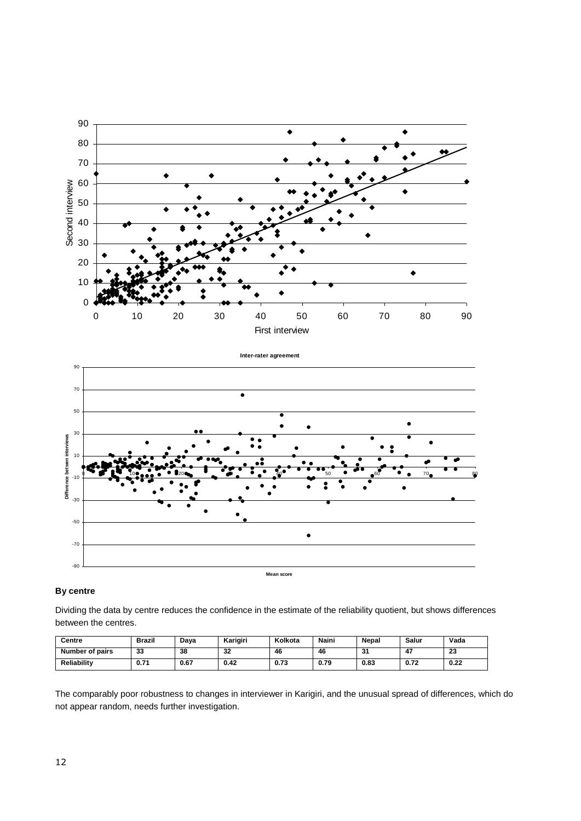



#### **By centre**

Dividing the data by centre reduces the confidence in the estimate of the reliability quotient, but shows differences between the centres.

| Centre          | Brazil | Dava | Karigiri | Kolkota | Naini | Nepal        | Salur | Vada       |
|-----------------|--------|------|----------|---------|-------|--------------|-------|------------|
| Number of pairs | 33     | 38   | <br>⊾ک   | 46      | 46    | $\sim$<br>эı | 4.    | ng.<br>-44 |
| Reliability     | 0.71   | 0.67 | 0.42     | 0.73    | 0.79  | 0.83         | 0.72  | 0.22       |

The comparably poor robustness to changes in interviewer in Karigiri, and the unusual spread of differences, which do not appear random, needs further investigation.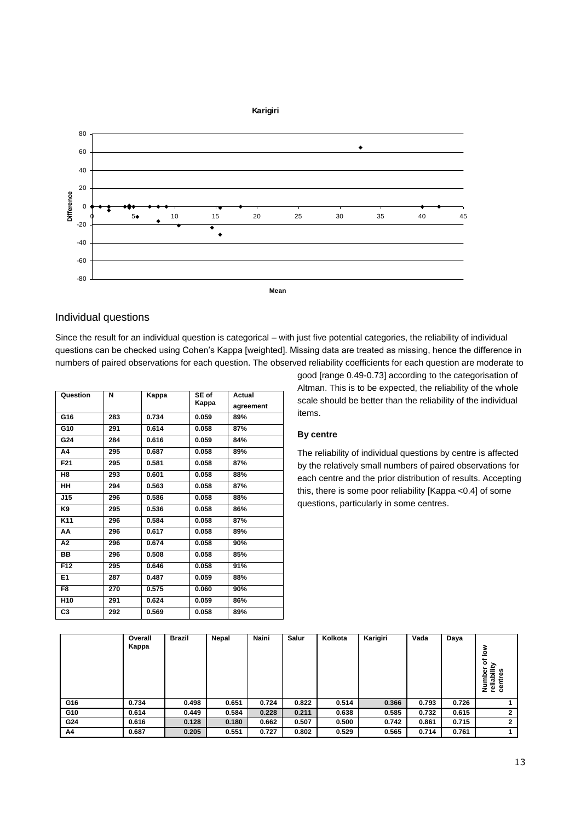

## Individual questions

Since the result for an individual question is categorical – with just five potential categories, the reliability of individual questions can be checked using Cohen's Kappa [weighted]. Missing data are treated as missing, hence the difference in numbers of paired observations for each question. The observed reliability coefficients for each question are moderate to

| Question        | N   | Kappa | SE of | <b>Actual</b> |
|-----------------|-----|-------|-------|---------------|
|                 |     |       | Kappa | agreement     |
| G16             | 283 | 0.734 | 0.059 | 89%           |
| G10             | 291 | 0.614 | 0.058 | 87%           |
| G24             | 284 | 0.616 | 0.059 | 84%           |
| Α4              | 295 | 0.687 | 0.058 | 89%           |
| F <sub>21</sub> | 295 | 0.581 | 0.058 | 87%           |
| H8              | 293 | 0.601 | 0.058 | 88%           |
| <b>HH</b>       | 294 | 0.563 | 0.058 | 87%           |
| J15             | 296 | 0.586 | 0.058 | 88%           |
| K9              | 295 | 0.536 | 0.058 | 86%           |
| K11             | 296 | 0.584 | 0.058 | 87%           |
| AA              | 296 | 0.617 | 0.058 | 89%           |
| А2              | 296 | 0.674 | 0.058 | 90%           |
| BB              | 296 | 0.508 | 0.058 | 85%           |
| F12             | 295 | 0.646 | 0.058 | 91%           |
| E <sub>1</sub>  | 287 | 0.487 | 0.059 | 88%           |
| F8              | 270 | 0.575 | 0.060 | 90%           |
| H <sub>10</sub> | 291 | 0.624 | 0.059 | 86%           |
| C3              | 292 | 0.569 | 0.058 | 89%           |

good [range 0.49-0.73] according to the categorisation of Altman. This is to be expected, the reliability of the whole scale should be better than the reliability of the individual items.

## **By centre**

The reliability of individual questions by centre is affected by the relatively small numbers of paired observations for each centre and the prior distribution of results. Accepting this, there is some poor reliability [Kappa <0.4] of some questions, particularly in some centres.

|     | Overall | <b>Brazil</b> | Nepal | Naini | <b>Salur</b> | Kolkota | Karigiri | Vada  | Daya  |                                                              |
|-----|---------|---------------|-------|-------|--------------|---------|----------|-------|-------|--------------------------------------------------------------|
|     | Kappa   |               |       |       |              |         |          |       |       | š                                                            |
|     |         |               |       |       |              |         |          |       |       | ā<br>∽<br>Ë<br>৯<br>es.<br>ິ<br>Ē<br>relial<br>륟<br>₹<br>శ్ర |
| G16 | 0.734   | 0.498         | 0.651 | 0.724 | 0.822        | 0.514   | 0.366    | 0.793 | 0.726 |                                                              |
| G10 | 0.614   | 0.449         | 0.584 | 0.228 | 0.211        | 0.638   | 0.585    | 0.732 | 0.615 | $\mathbf{2}$                                                 |
| G24 | 0.616   | 0.128         | 0.180 | 0.662 | 0.507        | 0.500   | 0.742    | 0.861 | 0.715 | $\mathbf{2}$                                                 |
| A4  | 0.687   | 0.205         | 0.551 | 0.727 | 0.802        | 0.529   | 0.565    | 0.714 | 0.761 |                                                              |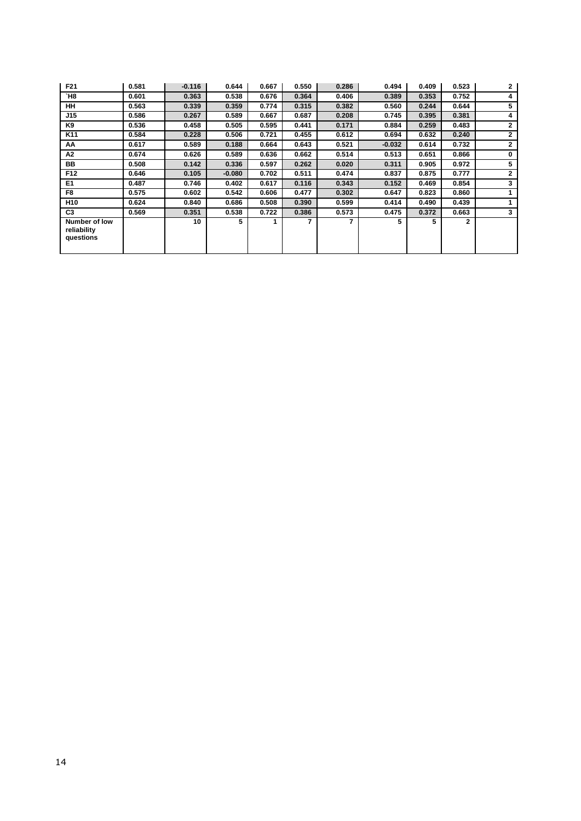| F21                                       | 0.581 | $-0.116$ | 0.644    | 0.667 | 0.550 | 0.286 | 0.494    | 0.409 | 0.523 | $\mathbf{2}$ |
|-------------------------------------------|-------|----------|----------|-------|-------|-------|----------|-------|-------|--------------|
| `H8                                       | 0.601 | 0.363    | 0.538    | 0.676 | 0.364 | 0.406 | 0.389    | 0.353 | 0.752 | 4            |
| <b>HH</b>                                 | 0.563 | 0.339    | 0.359    | 0.774 | 0.315 | 0.382 | 0.560    | 0.244 | 0.644 | 5            |
| J15                                       | 0.586 | 0.267    | 0.589    | 0.667 | 0.687 | 0.208 | 0.745    | 0.395 | 0.381 | 4            |
| K9                                        | 0.536 | 0.458    | 0.505    | 0.595 | 0.441 | 0.171 | 0.884    | 0.259 | 0.483 | $\mathbf{2}$ |
| K11                                       | 0.584 | 0.228    | 0.506    | 0.721 | 0.455 | 0.612 | 0.694    | 0.632 | 0.240 | $\mathbf{2}$ |
| AA                                        | 0.617 | 0.589    | 0.188    | 0.664 | 0.643 | 0.521 | $-0.032$ | 0.614 | 0.732 | $\mathbf{2}$ |
| A2                                        | 0.674 | 0.626    | 0.589    | 0.636 | 0.662 | 0.514 | 0.513    | 0.651 | 0.866 | 0            |
| BB                                        | 0.508 | 0.142    | 0.336    | 0.597 | 0.262 | 0.020 | 0.311    | 0.905 | 0.972 | 5            |
| F <sub>12</sub>                           | 0.646 | 0.105    | $-0.080$ | 0.702 | 0.511 | 0.474 | 0.837    | 0.875 | 0.777 | $\mathbf{2}$ |
| E <sub>1</sub>                            | 0.487 | 0.746    | 0.402    | 0.617 | 0.116 | 0.343 | 0.152    | 0.469 | 0.854 | 3            |
| F8                                        | 0.575 | 0.602    | 0.542    | 0.606 | 0.477 | 0.302 | 0.647    | 0.823 | 0.860 | 1            |
| H <sub>10</sub>                           | 0.624 | 0.840    | 0.686    | 0.508 | 0.390 | 0.599 | 0.414    | 0.490 | 0.439 | 1            |
| C <sub>3</sub>                            | 0.569 | 0.351    | 0.538    | 0.722 | 0.386 | 0.573 | 0.475    | 0.372 | 0.663 | 3            |
| Number of low<br>reliability<br>questions |       | 10       | 5        |       |       | 7     | 5        | 5     | 2     |              |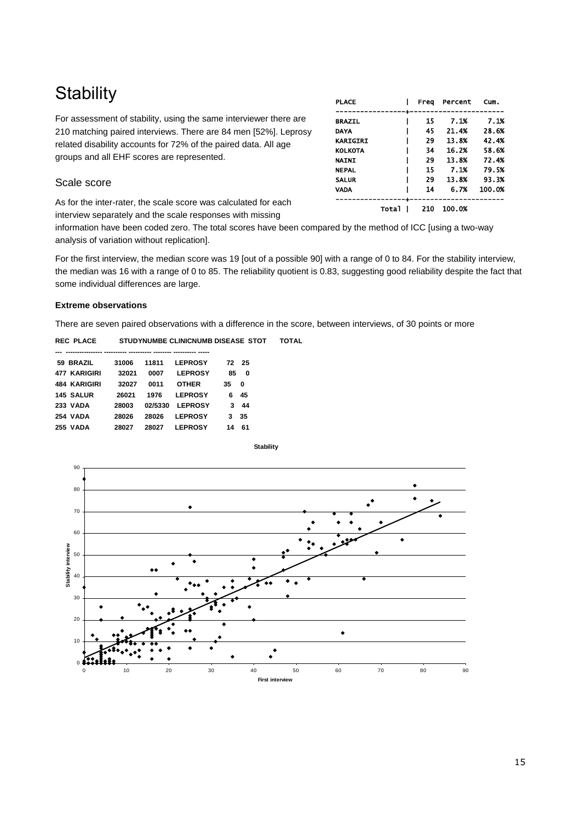# **Stability**

For assessment of stability, using the same interviewer there are 210 matching paired interviews. There are 84 men [52%]. Leprosy related disability accounts for 72% of the paired data. All age groups and all EHF scores are represented.

## Scale score

As for the inter-rater, the scale score was calculated for each interview separately and the scale responses with missing

| <b>PLACE</b>    |       | Frea | Percent | Cum.   |
|-----------------|-------|------|---------|--------|
|                 |       |      |         |        |
| <b>BRAZIL</b>   |       | 15   | 7.1%    | 7.1%   |
| <b>DAYA</b>     |       | 45   | 21.4%   | 28.6%  |
| <b>KARIGIRI</b> |       | 29   | 13.8%   | 42.4%  |
| <b>KOLKOTA</b>  |       | 34   | 16.2%   | 58.6%  |
| <b>NAINI</b>    |       | 29   | 13.8%   | 72.4%  |
| <b>NEPAL</b>    |       | 15   | 7.1%    | 79.5%  |
| <b>SALUR</b>    |       | 29   | 13.8%   | 93.3%  |
| <b>VADA</b>     |       | 14   | 6.7%    | 100.0% |
|                 |       |      |         |        |
|                 | Total | 210  | 100.0%  |        |

information have been coded zero. The total scores have been compared by the method of ICC [using a two-way analysis of variation without replication].

For the first interview, the median score was 19 [out of a possible 90] with a range of 0 to 84. For the stability interview, the median was 16 with a range of 0 to 85. The reliability quotient is 0.83, suggesting good reliability despite the fact that some individual differences are large.

#### **Extreme observations**

There are seven paired observations with a difference in the score, between interviews, of 30 points or more

**REC PLACE STUDYNUMBE CLINICNUMB DISEASE STOT TOTAL** 

| 59 BRAZIL        | 31006 | 11811   | <b>LEPROSY</b> | 72 | -25 |
|------------------|-------|---------|----------------|----|-----|
| 477 KARIGIRI     | 32021 | 0007    | <b>LEPROSY</b> | 85 | 0   |
| 484 KARIGIRI     | 32027 | 0011    | <b>OTHER</b>   | 35 | 0   |
| <b>145 SALUR</b> | 26021 | 1976    | <b>LEPROSY</b> | 6  | 45  |
| <b>233 VADA</b>  | 28003 | 02/5330 | <b>LEPROSY</b> | з  | 44  |
| <b>254 VADA</b>  | 28026 | 28026   | <b>LEPROSY</b> | 3  | 35  |
| <b>255 VADA</b>  | 28027 | 28027   | <b>LEPROSY</b> | 14 | 61  |

**Stability**

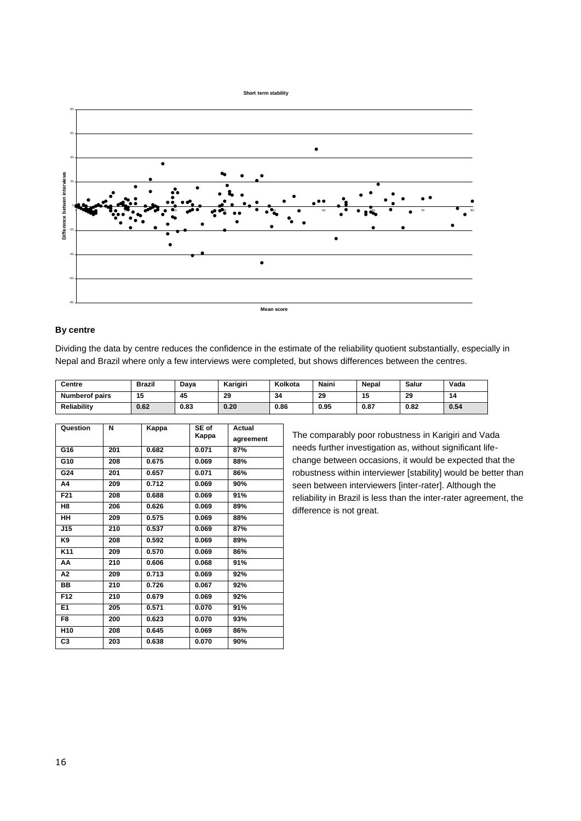

#### **By centre**

Dividing the data by centre reduces the confidence in the estimate of the reliability quotient substantially, especially in Nepal and Brazil where only a few interviews were completed, but shows differences between the centres.

| Centre                | <b>Brazil</b> | Dava | Karigiri | Kolkota | Naini | <b>Nepal</b> | Salur | Vada |
|-----------------------|---------------|------|----------|---------|-------|--------------|-------|------|
| <b>Numberof pairs</b> | 15            | 45   | 29       | 34      | 29    | 15           | 29    | 14   |
| Reliability           | 0.62          | 0.83 | 0.20     | 0.86    | 0.95  | 0.87         | 0.82  | 0.54 |

| Question        | N   | Kappa | SE of | <b>Actual</b> |
|-----------------|-----|-------|-------|---------------|
|                 |     |       | Kappa | agreement     |
| G16             | 201 | 0.682 | 0.071 | 87%           |
| G10             | 208 | 0.675 | 0.069 | 88%           |
| G24             | 201 | 0.657 | 0.071 | 86%           |
| A4              | 209 | 0.712 | 0.069 | 90%           |
| F <sub>21</sub> | 208 | 0.688 | 0.069 | 91%           |
| H <sub>8</sub>  | 206 | 0.626 | 0.069 | 89%           |
| <b>HH</b>       | 209 | 0.575 | 0.069 | 88%           |
| J15             | 210 | 0.537 | 0.069 | 87%           |
| K9              | 208 | 0.592 | 0.069 | 89%           |
| K <sub>11</sub> | 209 | 0.570 | 0.069 | 86%           |
| AA              | 210 | 0.606 | 0.068 | 91%           |
| А2              | 209 | 0.713 | 0.069 | 92%           |
| BB              | 210 | 0.726 | 0.067 | 92%           |
| F12             | 210 | 0.679 | 0.069 | 92%           |
| E1              | 205 | 0.571 | 0.070 | 91%           |
| F8              | 200 | 0.623 | 0.070 | 93%           |
| H <sub>10</sub> | 208 | 0.645 | 0.069 | 86%           |
| C <sub>3</sub>  | 203 | 0.638 | 0.070 | 90%           |

The comparably poor robustness in Karigiri and Vada needs further investigation as, without significant lifechange between occasions, it would be expected that the robustness within interviewer [stability] would be better than seen between interviewers [inter-rater]. Although the reliability in Brazil is less than the inter-rater agreement, the difference is not great.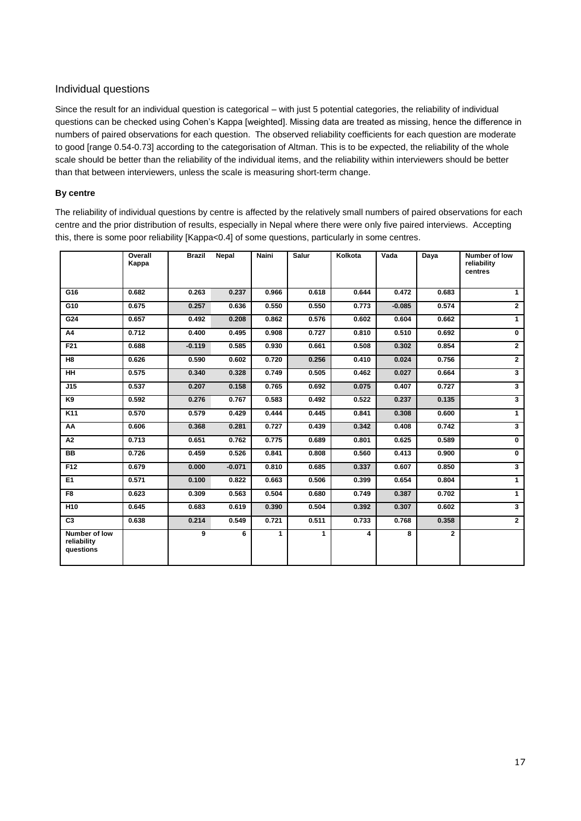## Individual questions

Since the result for an individual question is categorical – with just 5 potential categories, the reliability of individual questions can be checked using Cohen's Kappa [weighted]. Missing data are treated as missing, hence the difference in numbers of paired observations for each question. The observed reliability coefficients for each question are moderate to good [range 0.54-0.73] according to the categorisation of Altman. This is to be expected, the reliability of the whole scale should be better than the reliability of the individual items, and the reliability within interviewers should be better than that between interviewers, unless the scale is measuring short-term change.

### **By centre**

The reliability of individual questions by centre is affected by the relatively small numbers of paired observations for each centre and the prior distribution of results, especially in Nepal where there were only five paired interviews. Accepting this, there is some poor reliability [Kappa<0.4] of some questions, particularly in some centres.

|                                           | Overall<br>Kappa | <b>Brazil</b> | Nepal    | Naini | Salur | Kolkota | Vada     | Daya         | Number of low<br>reliability<br>centres |
|-------------------------------------------|------------------|---------------|----------|-------|-------|---------|----------|--------------|-----------------------------------------|
| G16                                       | 0.682            | 0.263         | 0.237    | 0.966 | 0.618 | 0.644   | 0.472    | 0.683        | $\overline{1}$                          |
| G10                                       | 0.675            | 0.257         | 0.636    | 0.550 | 0.550 | 0.773   | $-0.085$ | 0.574        | $\mathbf{2}$                            |
| G24                                       | 0.657            | 0.492         | 0.208    | 0.862 | 0.576 | 0.602   | 0.604    | 0.662        | $\mathbf{1}$                            |
| A4                                        | 0.712            | 0.400         | 0.495    | 0.908 | 0.727 | 0.810   | 0.510    | 0.692        | $\mathbf 0$                             |
| F21                                       | 0.688            | $-0.119$      | 0.585    | 0.930 | 0.661 | 0.508   | 0.302    | 0.854        | $\overline{2}$                          |
| H <sub>8</sub>                            | 0.626            | 0.590         | 0.602    | 0.720 | 0.256 | 0.410   | 0.024    | 0.756        | $\overline{2}$                          |
| <b>HH</b>                                 | 0.575            | 0.340         | 0.328    | 0.749 | 0.505 | 0.462   | 0.027    | 0.664        | $\mathbf{3}$                            |
| J15                                       | 0.537            | 0.207         | 0.158    | 0.765 | 0.692 | 0.075   | 0.407    | 0.727        | 3                                       |
| K9                                        | 0.592            | 0.276         | 0.767    | 0.583 | 0.492 | 0.522   | 0.237    | 0.135        | $\overline{\mathbf{3}}$                 |
| K <sub>11</sub>                           | 0.570            | 0.579         | 0.429    | 0.444 | 0.445 | 0.841   | 0.308    | 0.600        | $\overline{1}$                          |
| AA                                        | 0.606            | 0.368         | 0.281    | 0.727 | 0.439 | 0.342   | 0.408    | 0.742        | $\overline{\mathbf{3}}$                 |
| A2                                        | 0.713            | 0.651         | 0.762    | 0.775 | 0.689 | 0.801   | 0.625    | 0.589        | $\mathbf 0$                             |
| <b>BB</b>                                 | 0.726            | 0.459         | 0.526    | 0.841 | 0.808 | 0.560   | 0.413    | 0.900        | $\bf{0}$                                |
| F12                                       | 0.679            | 0.000         | $-0.071$ | 0.810 | 0.685 | 0.337   | 0.607    | 0.850        | $\overline{\mathbf{3}}$                 |
| E1                                        | 0.571            | 0.100         | 0.822    | 0.663 | 0.506 | 0.399   | 0.654    | 0.804        | $\mathbf{1}$                            |
| F <sub>8</sub>                            | 0.623            | 0.309         | 0.563    | 0.504 | 0.680 | 0.749   | 0.387    | 0.702        | $\mathbf{1}$                            |
| H10                                       | 0.645            | 0.683         | 0.619    | 0.390 | 0.504 | 0.392   | 0.307    | 0.602        | $\overline{\mathbf{3}}$                 |
| C <sub>3</sub>                            | 0.638            | 0.214         | 0.549    | 0.721 | 0.511 | 0.733   | 0.768    | 0.358        | $2^{\circ}$                             |
| Number of low<br>reliability<br>questions |                  | 9             | 6        | 1     | 1     | 4       | 8        | $\mathbf{2}$ |                                         |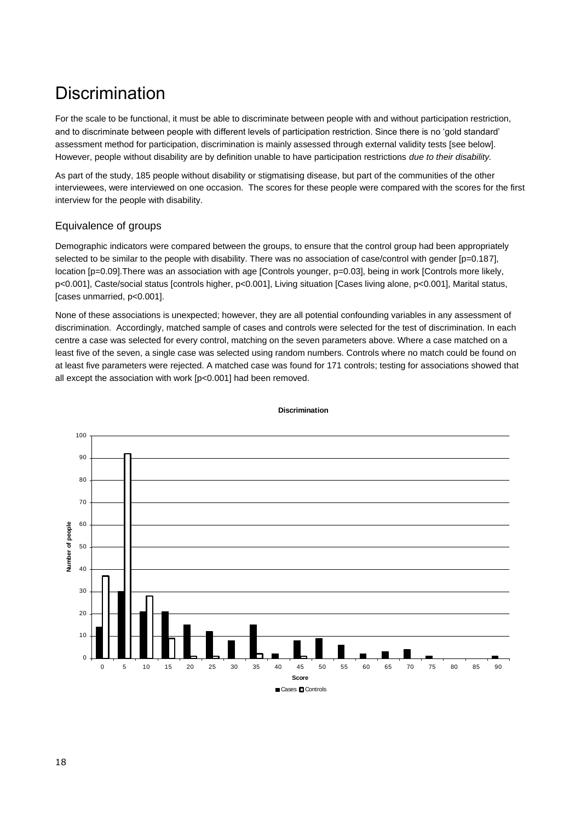# **Discrimination**

For the scale to be functional, it must be able to discriminate between people with and without participation restriction, and to discriminate between people with different levels of participation restriction. Since there is no 'gold standard' assessment method for participation, discrimination is mainly assessed through external validity tests [see below]. However, people without disability are by definition unable to have participation restrictions *due to their disability.* 

As part of the study, 185 people without disability or stigmatising disease, but part of the communities of the other interviewees, were interviewed on one occasion. The scores for these people were compared with the scores for the first interview for the people with disability.

## Equivalence of groups

Demographic indicators were compared between the groups, to ensure that the control group had been appropriately selected to be similar to the people with disability. There was no association of case/control with gender [p=0.187], location [p=0.09].There was an association with age [Controls younger, p=0.03], being in work [Controls more likely, p<0.001], Caste/social status [controls higher, p<0.001], Living situation [Cases living alone, p<0.001], Marital status, [cases unmarried, p<0.001].

None of these associations is unexpected; however, they are all potential confounding variables in any assessment of discrimination. Accordingly, matched sample of cases and controls were selected for the test of discrimination. In each centre a case was selected for every control, matching on the seven parameters above. Where a case matched on a least five of the seven, a single case was selected using random numbers. Controls where no match could be found on at least five parameters were rejected. A matched case was found for 171 controls; testing for associations showed that all except the association with work [p<0.001] had been removed.



**Discrimination**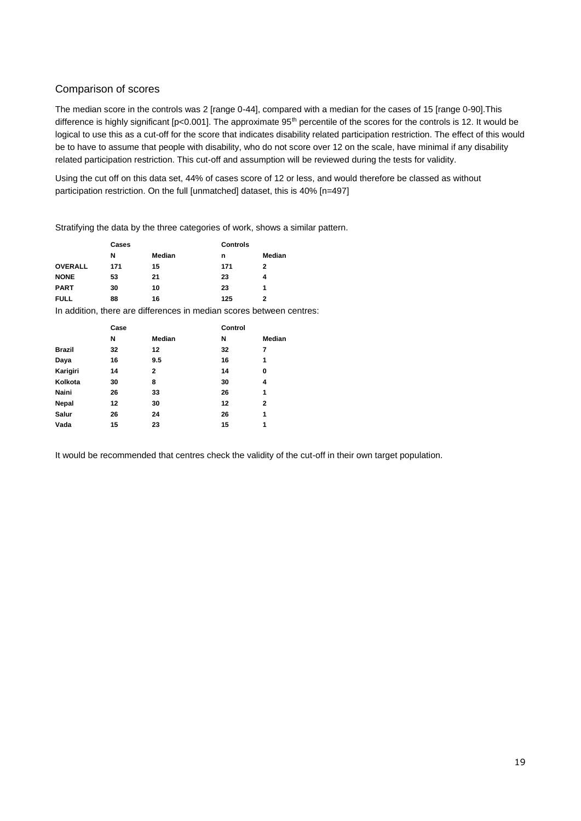## Comparison of scores

The median score in the controls was 2 [range 0-44], compared with a median for the cases of 15 [range 0-90].This difference is highly significant [p<0.001]. The approximate 95<sup>th</sup> percentile of the scores for the controls is 12. It would be logical to use this as a cut-off for the score that indicates disability related participation restriction. The effect of this would be to have to assume that people with disability, who do not score over 12 on the scale, have minimal if any disability related participation restriction. This cut-off and assumption will be reviewed during the tests for validity.

Using the cut off on this data set, 44% of cases score of 12 or less, and would therefore be classed as without participation restriction. On the full [unmatched] dataset, this is 40% [n=497]

Stratifying the data by the three categories of work, shows a similar pattern.

|                | Cases |        | <b>Controls</b> |        |  |
|----------------|-------|--------|-----------------|--------|--|
|                | N     | Median | n               | Median |  |
| <b>OVERALL</b> | 171   | 15     | 171             | 2      |  |
| <b>NONE</b>    | 53    | 21     | 23              | 4      |  |
| <b>PART</b>    | 30    | 10     | 23              | 1      |  |
| <b>FULL</b>    | 88    | 16     | 125             | 2      |  |

In addition, there are differences in median scores between centres:

|               | Case |              | Control |               |
|---------------|------|--------------|---------|---------------|
|               | N    | Median       | N       | <b>Median</b> |
| <b>Brazil</b> | 32   | 12           | 32      | 7             |
| Daya          | 16   | 9.5          | 16      | 1             |
| Karigiri      | 14   | $\mathbf{2}$ | 14      | 0             |
| Kolkota       | 30   | 8            | 30      | 4             |
| Naini         | 26   | 33           | 26      | 1             |
| Nepal         | 12   | 30           | 12      | $\mathbf 2$   |
| Salur         | 26   | 24           | 26      | 1             |
| Vada          | 15   | 23           | 15      | 1             |

It would be recommended that centres check the validity of the cut-off in their own target population.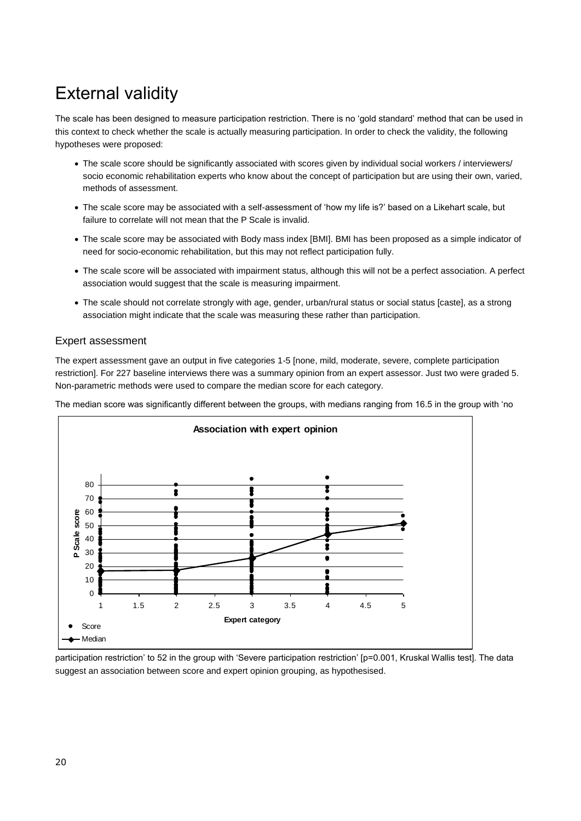# External validity

The scale has been designed to measure participation restriction. There is no 'gold standard' method that can be used in this context to check whether the scale is actually measuring participation. In order to check the validity, the following hypotheses were proposed:

- The scale score should be significantly associated with scores given by individual social workers / interviewers/ socio economic rehabilitation experts who know about the concept of participation but are using their own, varied, methods of assessment.
- The scale score may be associated with a self-assessment of 'how my life is?' based on a Likehart scale, but failure to correlate will not mean that the P Scale is invalid.
- The scale score may be associated with Body mass index [BMI]. BMI has been proposed as a simple indicator of need for socio-economic rehabilitation, but this may not reflect participation fully.
- The scale score will be associated with impairment status, although this will not be a perfect association. A perfect association would suggest that the scale is measuring impairment.
- The scale should not correlate strongly with age, gender, urban/rural status or social status [caste], as a strong association might indicate that the scale was measuring these rather than participation.

### Expert assessment

The expert assessment gave an output in five categories 1-5 [none, mild, moderate, severe, complete participation restriction]. For 227 baseline interviews there was a summary opinion from an expert assessor. Just two were graded 5. Non-parametric methods were used to compare the median score for each category.

The median score was significantly different between the groups, with medians ranging from 16.5 in the group with 'no



participation restriction' to 52 in the group with 'Severe participation restriction' [p=0.001, Kruskal Wallis test]. The data suggest an association between score and expert opinion grouping, as hypothesised.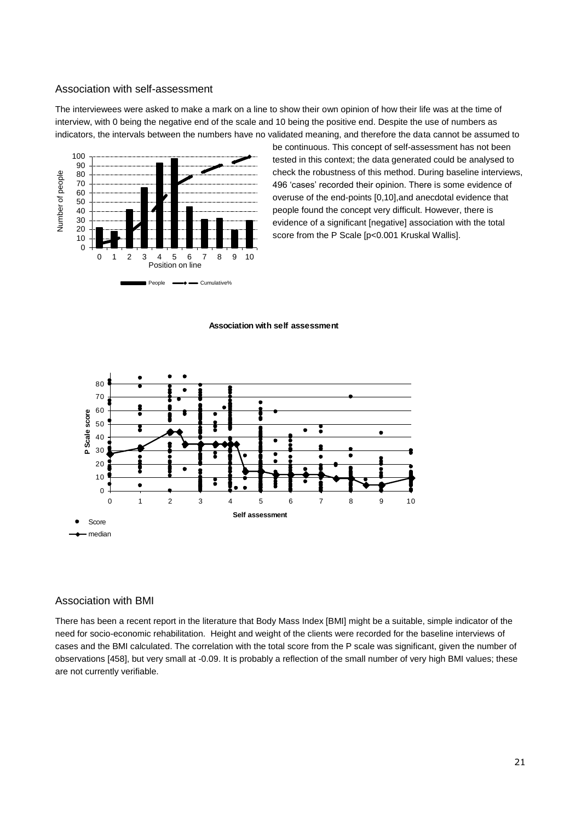#### Association with self-assessment

The interviewees were asked to make a mark on a line to show their own opinion of how their life was at the time of interview, with 0 being the negative end of the scale and 10 being the positive end. Despite the use of numbers as indicators, the intervals between the numbers have no validated meaning, and therefore the data cannot be assumed to



be continuous. This concept of self-assessment has not been tested in this context; the data generated could be analysed to check the robustness of this method. During baseline interviews, 496 'cases' recorded their opinion. There is some evidence of overuse of the end-points [0,10],and anecdotal evidence that people found the concept very difficult. However, there is evidence of a significant [negative] association with the total score from the P Scale [p<0.001 Kruskal Wallis].



#### **Association with self assessment**

#### Association with BMI

There has been a recent report in the literature that Body Mass Index [BMI] might be a suitable, simple indicator of the need for socio-economic rehabilitation. Height and weight of the clients were recorded for the baseline interviews of cases and the BMI calculated. The correlation with the total score from the P scale was significant, given the number of observations [458], but very small at -0.09. It is probably a reflection of the small number of very high BMI values; these are not currently verifiable.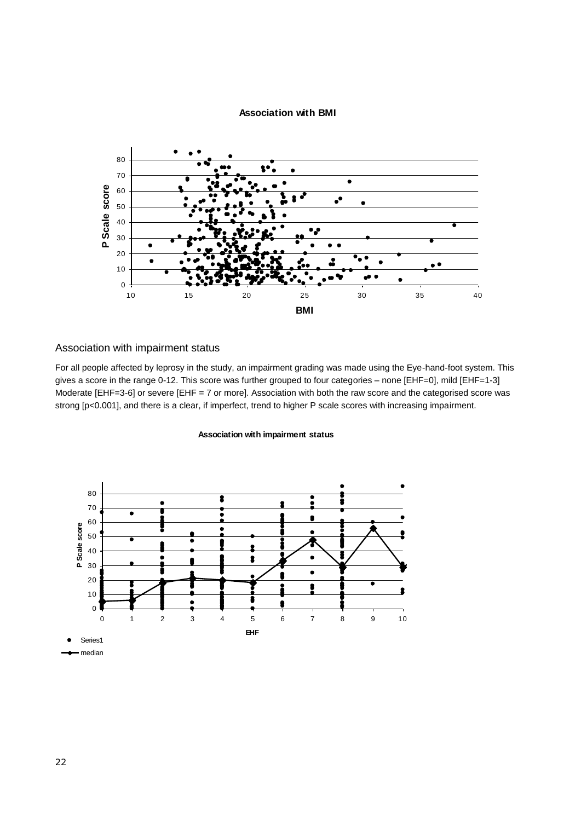## **Association with BMI**



## Association with impairment status

For all people affected by leprosy in the study, an impairment grading was made using the Eye-hand-foot system. This gives a score in the range 0-12. This score was further grouped to four categories – none [EHF=0], mild [EHF=1-3] Moderate [EHF=3-6] or severe [EHF = 7 or more]. Association with both the raw score and the categorised score was strong [p<0.001], and there is a clear, if imperfect, trend to higher P scale scores with increasing impairment.

#### **Association with impairment status**

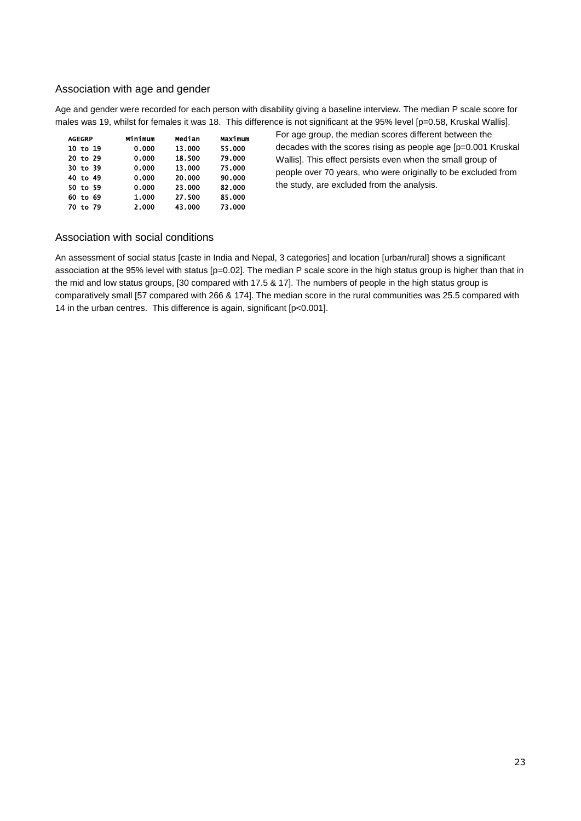## Association with age and gender

Age and gender were recorded for each person with disability giving a baseline interview. The median P scale score for males was 19, whilst for females it was 18. This difference is not significant at the 95% level [p=0.58, Kruskal Wallis].

| <b>AGEGRP</b> | Minimum | Median | Maximum |
|---------------|---------|--------|---------|
| 10 to 19      | 0.000   | 13.000 | 55.000  |
| 20 to 29      | 0.000   | 18.500 | 79.000  |
| 30 to 39      | 0.000   | 13.000 | 75.000  |
| 40 to 49      | 0.000   | 20,000 | 90.000  |
| 50 to 59      | 0.000   | 23.000 | 82,000  |
| 60 to 69      | 1.000   | 27.500 | 85.000  |
| to 79<br>70   | 2.000   | 43,000 | 73.000  |

For age group, the median scores different between the decades with the scores rising as people age [p=0.001 Kruskal Wallis]. This effect persists even when the small group of people over 70 years, who were originally to be excluded from the study, are excluded from the analysis.

## Association with social conditions

An assessment of social status [caste in India and Nepal, 3 categories] and location [urban/rural] shows a significant association at the 95% level with status [p=0.02]. The median P scale score in the high status group is higher than that in the mid and low status groups, [30 compared with 17.5 & 17]. The numbers of people in the high status group is comparatively small [57 compared with 266 & 174]. The median score in the rural communities was 25.5 compared with 14 in the urban centres. This difference is again, significant [p<0.001].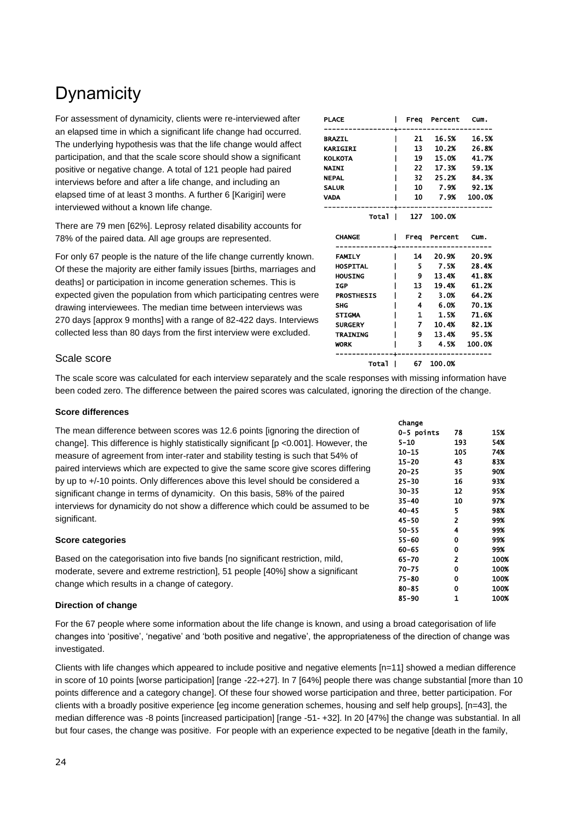# **Dynamicity**

For assessment of dynamicity, clients were re-interviewed after an elapsed time in which a significant life change had occurred. The underlying hypothesis was that the life change would affect participation, and that the scale score should show a significant positive or negative change. A total of 121 people had paired interviews before and after a life change, and including an elapsed time of at least 3 months. A further 6 [Karigiri] were interviewed without a known life change.

There are 79 men [62%]. Leprosy related disability accounts for 78% of the paired data. All age groups are represented.

For only 67 people is the nature of the life change currently known. Of these the majority are either family issues [births, marriages and deaths] or participation in income generation schemes. This is expected given the population from which participating centres were drawing interviewees. The median time between interviews was 270 days [approx 9 months] with a range of 82-422 days. Interviews collected less than 80 days from the first interview were excluded.

| <b>PLACE</b>      |                | Freq Percent   | Cum.        |
|-------------------|----------------|----------------|-------------|
| <b>BRAZIL</b>     | 21 -           |                | 16.5% 16.5% |
| <b>KARIGIRI</b>   | 13             |                | 10.2% 26.8% |
| <b>KOLKOTA</b>    | 19             | 15.0%          | 41.7%       |
| <b>NAINI</b>      | 22             |                | 17.3% 59.1% |
| <b>NEPAL</b>      |                | 32 25.2% 84.3% |             |
| <b>SALUR</b>      |                | 10 7.9% 92.1%  |             |
| <b>VADA</b>       | 10             |                | 7.9% 100.0% |
| Total I           |                | 127 100.0%     |             |
| <b>CHANGE</b>     |                | Frea Percent   | Cum.        |
| <b>FAMILY</b>     | 14             |                | 20.9% 20.9% |
| <b>HOSPITAL</b>   | - 5            | 7.5%           | 28.4%       |
| <b>HOUSING</b>    | - 9            |                | 13.4% 41.8% |
| <b>IGP</b>        | 13             | 19.4%          | 61.2%       |
| <b>PROSTHESIS</b> | $\overline{2}$ | 3.0%           | 64.2%       |
| <b>SHG</b>        | 4              | 6.0%           | 70.1%       |
| <b>STIGMA</b>     | 1              | 1.5%           | 71.6%       |
| <b>SURGERY</b>    | $\overline{z}$ | 10.4%          | 82.1%       |
| <b>TRAINING</b>   | 9              | 13.4%          | - 95.5%     |
| <b>WORK</b>       | 3.             | 4.5%           | 100.0%      |
| Total             |                | 67 100.0%      |             |

## Scale score

The scale score was calculated for each interview separately and the scale responses with missing information have been coded zero. The difference between the paired scores was calculated, ignoring the direction of the change.

#### **Score differences**

The mean difference between scores was 12.6 points [ignoring the direction of change]. This difference is highly statistically significant [p <0.001]. However, the measure of agreement from inter-rater and stability testing is such that 54% of paired interviews which are expected to give the same score give scores differing by up to +/-10 points. Only differences above this level should be considered a significant change in terms of dynamicity. On this basis, 58% of the paired interviews for dynamicity do not show a difference which could be assumed to be significant.

#### **Score categories**

Based on the categorisation into five bands [no significant restriction, mild, moderate, severe and extreme restriction], 51 people [40%] show a significant change which results in a change of category.

#### **Direction of change**

For the 67 people where some information about the life change is known, and using a broad categorisation of life changes into 'positive', 'negative' and 'both positive and negative', the appropriateness of the direction of change was investigated.

Clients with life changes which appeared to include positive and negative elements [n=11] showed a median difference in score of 10 points [worse participation] [range -22-+27]. In 7 [64%] people there was change substantial [more than 10 points difference and a category change]. Of these four showed worse participation and three, better participation. For clients with a broadly positive experience [eg income generation schemes, housing and self help groups], [n=43], the median difference was -8 points [increased participation] [range -51- +32]. In 20 [47%] the change was substantial. In all but four cases, the change was positive. For people with an experience expected to be negative [death in the family,

| Change     |     |      |
|------------|-----|------|
| 0-5 points | 78  | 15%  |
| 5-10       | 193 | 54%  |
| 10-15      | 105 | 74%  |
| 15–20      | 43  | 83%  |
| $20 - 25$  | 35  | 90X  |
| $25 - 30$  | 16  | 93%  |
| $30 - 35$  | 12  | 95%  |
| 35–40      | 10  | 97%  |
| 40-45      | 5   | 98%  |
| 45–50      | 2   | 99%  |
| $50 - 55$  | 4   | 99%  |
| 55-60      | 0   | 99%  |
| 60-65      | 0   | 99%  |
| 65-70      | 2   | 100% |
| $70 - 75$  | 0   | 100% |
| 75-80      | 0   | 100% |
| 80-85      | 0   | 100% |
| 85–90      | 1   | 100% |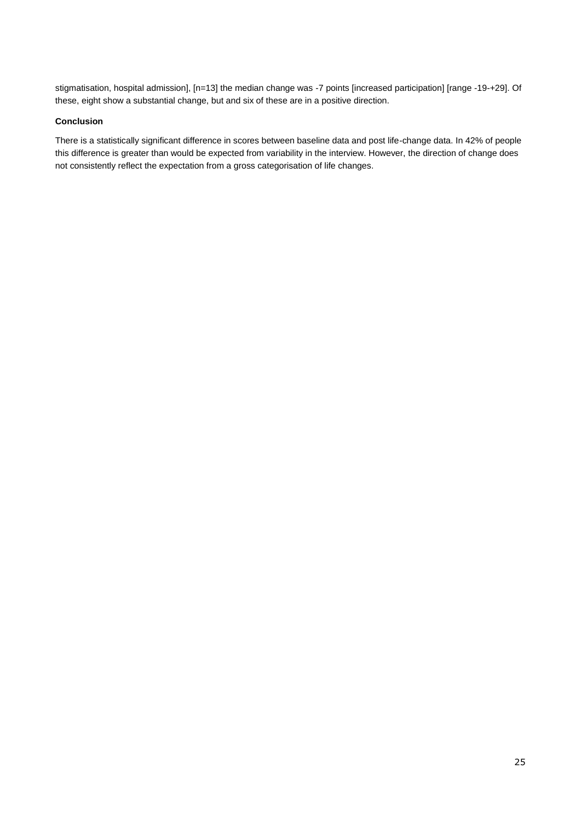stigmatisation, hospital admission], [n=13] the median change was -7 points [increased participation] [range -19-+29]. Of these, eight show a substantial change, but and six of these are in a positive direction.

### **Conclusion**

There is a statistically significant difference in scores between baseline data and post life-change data. In 42% of people this difference is greater than would be expected from variability in the interview. However, the direction of change does not consistently reflect the expectation from a gross categorisation of life changes.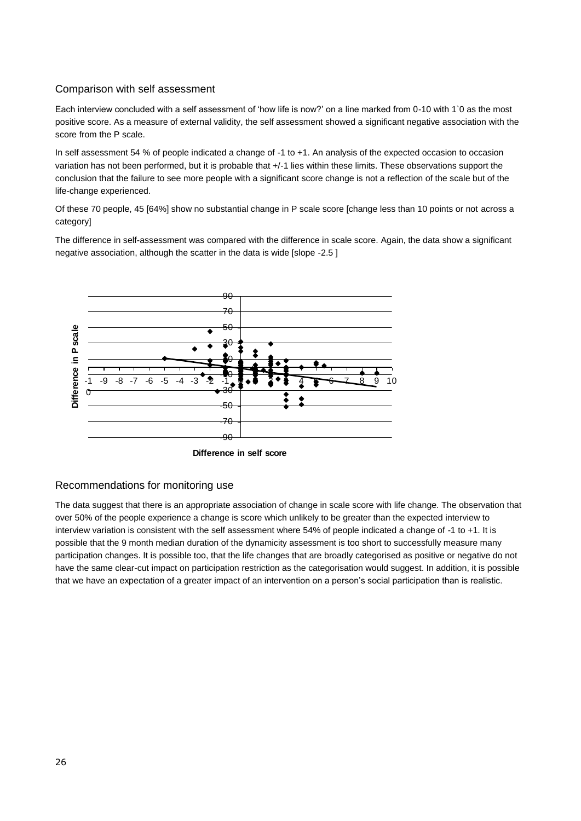## Comparison with self assessment

Each interview concluded with a self assessment of 'how life is now?' on a line marked from 0-10 with 1`0 as the most positive score. As a measure of external validity, the self assessment showed a significant negative association with the score from the P scale.

In self assessment 54 % of people indicated a change of -1 to +1. An analysis of the expected occasion to occasion variation has not been performed, but it is probable that +/-1 lies within these limits. These observations support the conclusion that the failure to see more people with a significant score change is not a reflection of the scale but of the life-change experienced.

Of these 70 people, 45 [64%] show no substantial change in P scale score [change less than 10 points or not across a category]

The difference in self-assessment was compared with the difference in scale score. Again, the data show a significant negative association, although the scatter in the data is wide [slope -2.5 ]



**Difference in self score**

## Recommendations for monitoring use

The data suggest that there is an appropriate association of change in scale score with life change. The observation that over 50% of the people experience a change is score which unlikely to be greater than the expected interview to interview variation is consistent with the self assessment where 54% of people indicated a change of -1 to +1. It is possible that the 9 month median duration of the dynamicity assessment is too short to successfully measure many participation changes. It is possible too, that the life changes that are broadly categorised as positive or negative do not have the same clear-cut impact on participation restriction as the categorisation would suggest. In addition, it is possible that we have an expectation of a greater impact of an intervention on a person's social participation than is realistic.